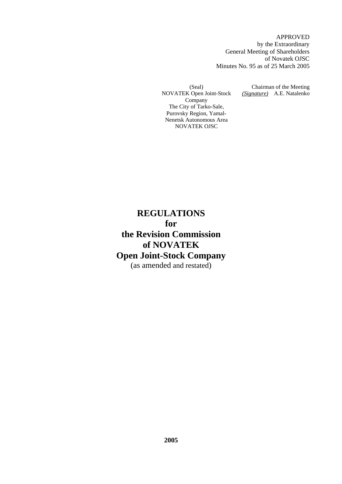APPROVED by the Extraordinary General Meeting of Shareholders of Novatek OJSC Minutes No. 95 as of 25 March 2005

(Seal) NOVATEK Open Joint-Stock Company The City of Tarko-Sale, Purovsky Region, Yamal-Nenetsk Autonomous Area NOVATEK OJSC

Chairman of the Meeting *(Signature)* A.E. Natalenko

**REGULATIONS for the Revision Commission of NOVATEK Open Joint-Stock Company**  (as amended and restated)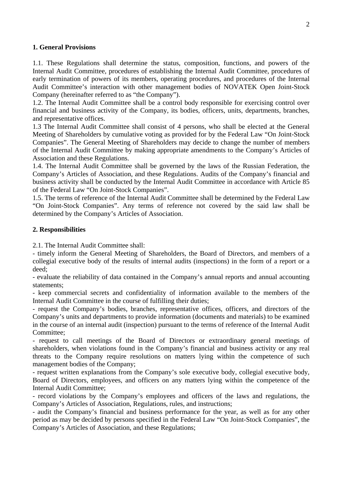#### **1. General Provisions**

1.1. These Regulations shall determine the status, composition, functions, and powers of the Internal Audit Committee, procedures of establishing the Internal Audit Committee, procedures of early termination of powers of its members, operating procedures, and procedures of the Internal Audit Committee's interaction with other management bodies of NOVATEK Open Joint-Stock Company (hereinafter referred to as "the Company").

1.2. The Internal Audit Committee shall be a control body responsible for exercising control over financial and business activity of the Company, its bodies, officers, units, departments, branches, and representative offices.

1.3 The Internal Audit Committee shall consist of 4 persons, who shall be elected at the General Meeting of Shareholders by cumulative voting as provided for by the Federal Law "On Joint-Stock Companies". The General Meeting of Shareholders may decide to change the number of members of the Internal Audit Committee by making appropriate amendments to the Company's Articles of Association and these Regulations.

1.4. The Internal Audit Committee shall be governed by the laws of the Russian Federation, the Company's Articles of Association, and these Regulations. Audits of the Company's financial and business activity shall be conducted by the Internal Audit Committee in accordance with Article 85 of the Federal Law "On Joint-Stock Companies".

1.5. The terms of reference of the Internal Audit Committee shall be determined by the Federal Law "On Joint-Stock Companies". Any terms of reference not covered by the said law shall be determined by the Company's Articles of Association.

#### **2. Responsibilities**

2.1. The Internal Audit Committee shall:

- timely inform the General Meeting of Shareholders, the Board of Directors, and members of a collegial executive body of the results of internal audits (inspections) in the form of a report or a deed;

- evaluate the reliability of data contained in the Company's annual reports and annual accounting statements;

- keep commercial secrets and confidentiality of information available to the members of the Internal Audit Committee in the course of fulfilling their duties;

- request the Company's bodies, branches, representative offices, officers, and directors of the Company's units and departments to provide information (documents and materials) to be examined in the course of an internal audit (inspection) pursuant to the terms of reference of the Internal Audit Committee;

- request to call meetings of the Board of Directors or extraordinary general meetings of shareholders, when violations found in the Company's financial and business activity or any real threats to the Company require resolutions on matters lying within the competence of such management bodies of the Company;

- request written explanations from the Company's sole executive body, collegial executive body, Board of Directors, employees, and officers on any matters lying within the competence of the Internal Audit Committee;

- record violations by the Company's employees and officers of the laws and regulations, the Company's Articles of Association, Regulations, rules, and instructions;

- audit the Company's financial and business performance for the year, as well as for any other period as may be decided by persons specified in the Federal Law "On Joint-Stock Companies", the Company's Articles of Association, and these Regulations;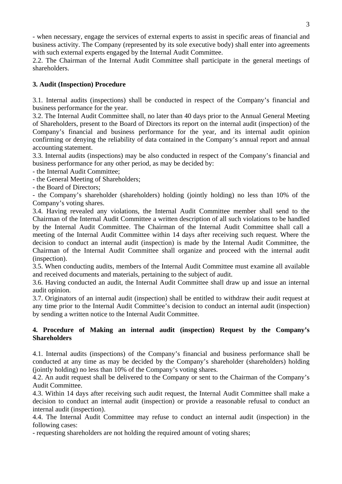- when necessary, engage the services of external experts to assist in specific areas of financial and business activity. The Company (represented by its sole executive body) shall enter into agreements with such external experts engaged by the Internal Audit Committee.

2.2. The Chairman of the Internal Audit Committee shall participate in the general meetings of shareholders.

# **3. Audit (Inspection) Procedure**

3.1. Internal audits (inspections) shall be conducted in respect of the Company's financial and business performance for the year.

3.2. The Internal Audit Committee shall, no later than 40 days prior to the Annual General Meeting of Shareholders, present to the Board of Directors its report on the internal audit (inspection) of the Company's financial and business performance for the year, and its internal audit opinion confirming or denying the reliability of data contained in the Company's annual report and annual accounting statement.

3.3. Internal audits (inspections) may be also conducted in respect of the Company's financial and business performance for any other period, as may be decided by:

- the Internal Audit Committee;

- the General Meeting of Shareholders;

- the Board of Directors;

- the Company's shareholder (shareholders) holding (jointly holding) no less than 10% of the Company's voting shares.

3.4. Having revealed any violations, the Internal Audit Committee member shall send to the Chairman of the Internal Audit Committee a written description of all such violations to be handled by the Internal Audit Committee. The Chairman of the Internal Audit Committee shall call a meeting of the Internal Audit Committee within 14 days after receiving such request. Where the decision to conduct an internal audit (inspection) is made by the Internal Audit Committee, the Chairman of the Internal Audit Committee shall organize and proceed with the internal audit (inspection).

3.5. When conducting audits, members of the Internal Audit Committee must examine all available and received documents and materials, pertaining to the subject of audit.

3.6. Having conducted an audit, the Internal Audit Committee shall draw up and issue an internal audit opinion.

3.7. Originators of an internal audit (inspection) shall be entitled to withdraw their audit request at any time prior to the Internal Audit Committee's decision to conduct an internal audit (inspection) by sending a written notice to the Internal Audit Committee.

## **4. Procedure of Making an internal audit (inspection) Request by the Company's Shareholders**

4.1. Internal audits (inspections) of the Company's financial and business performance shall be conducted at any time as may be decided by the Company's shareholder (shareholders) holding (jointly holding) no less than 10% of the Company's voting shares.

4.2. An audit request shall be delivered to the Company or sent to the Chairman of the Company's Audit Committee.

4.3. Within 14 days after receiving such audit request, the Internal Audit Committee shall make a decision to conduct an internal audit (inspection) or provide a reasonable refusal to conduct an internal audit (inspection).

4.4. The Internal Audit Committee may refuse to conduct an internal audit (inspection) in the following cases:

- requesting shareholders are not holding the required amount of voting shares;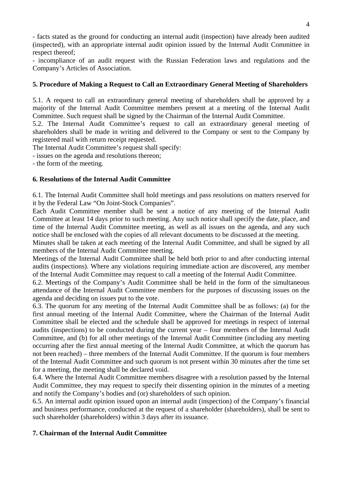- facts stated as the ground for conducting an internal audit (inspection) have already been audited (inspected), with an appropriate internal audit opinion issued by the Internal Audit Committee in respect thereof;

- incompliance of an audit request with the Russian Federation laws and regulations and the Company's Articles of Association.

#### **5. Procedure of Making a Request to Call an Extraordinary General Meeting of Shareholders**

5.1. A request to call an extraordinary general meeting of shareholders shall be approved by a majority of the Internal Audit Committee members present at a meeting of the Internal Audit Committee. Such request shall be signed by the Chairman of the Internal Audit Committee.

5.2. The Internal Audit Committee's request to call an extraordinary general meeting of shareholders shall be made in writing and delivered to the Company or sent to the Company by registered mail with return receipt requested.

The Internal Audit Committee's request shall specify:

- issues on the agenda and resolutions thereon;

- the form of the meeting.

#### **6. Resolutions of the Internal Audit Committee**

6.1. The Internal Audit Committee shall hold meetings and pass resolutions on matters reserved for it by the Federal Law "On Joint-Stock Companies".

Each Audit Committee member shall be sent a notice of any meeting of the Internal Audit Committee at least 14 days prior to such meeting. Any such notice shall specify the date, place, and time of the Internal Audit Committee meeting, as well as all issues on the agenda, and any such notice shall be enclosed with the copies of all relevant documents to be discussed at the meeting.

Minutes shall be taken at each meeting of the Internal Audit Committee, and shall be signed by all members of the Internal Audit Committee meeting.

Meetings of the Internal Audit Committee shall be held both prior to and after conducting internal audits (inspections). Where any violations requiring immediate action are discovered, any member of the Internal Audit Committee may request to call a meeting of the Internal Audit Committee.

6.2. Meetings of the Company's Audit Committee shall be held in the form of the simultaneous attendance of the Internal Audit Committee members for the purposes of discussing issues on the agenda and deciding on issues put to the vote.

6.3. The quorum for any meeting of the Internal Audit Committee shall be as follows: (a) for the first annual meeting of the Internal Audit Committee, where the Chairman of the Internal Audit Committee shall be elected and the schedule shall be approved for meetings in respect of internal audits (inspections) to be conducted during the current year – four members of the Internal Audit Committee, and (b) for all other meetings of the Internal Audit Committee (including any meeting occurring after the first annual meeting of the Internal Audit Committee, at which the quorum has not been reached) – three members of the Internal Audit Committee. If the quorum is four members of the Internal Audit Committee and such quorum is not present within 30 minutes after the time set for a meeting, the meeting shall be declared void.

6.4. Where the Internal Audit Committee members disagree with a resolution passed by the Internal Audit Committee, they may request to specify their dissenting opinion in the minutes of a meeting and notify the Company's bodies and (or) shareholders of such opinion.

6.5. An internal audit opinion issued upon an internal audit (inspection) of the Company's financial and business performance, conducted at the request of a shareholder (shareholders), shall be sent to such shareholder (shareholders) within 3 days after its issuance.

## **7. Chairman of the Internal Audit Committee**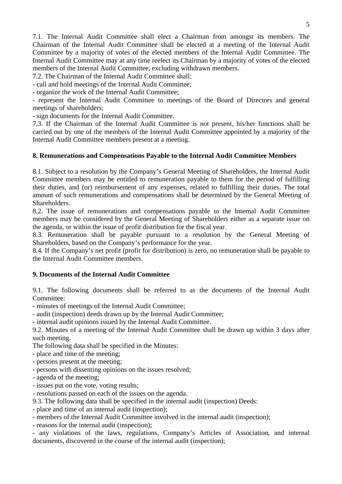7.1. The Internal Audit Committee shall elect a Chairman from amongst its members. The Chairman of the Internal Audit Committee shall be elected at a meeting of the Internal Audit Committee by a majority of votes of the elected members of the Internal Audit Committee. The Internal Audit Committee may at any time reelect its Chairman by a majority of votes of the elected members of the Internal Audit Committee, excluding withdrawn members.

7.2. The Chairman of the Internal Audit Committee shall:

- call and hold meetings of the Internal Audit Committee;

- organize the work of the Internal Audit Committee;

- represent the Internal Audit Committee to meetings of the Board of Directors and general meetings of shareholders;

- sign documents for the Internal Audit Committee.

7.3. If the Chairman of the Internal Audit Committee is not present, his/her functions shall be carried out by one of the members of the Internal Audit Committee appointed by a majority of the Internal Audit Committee members present at a meeting.

#### **8. Remunerations and Compensations Payable to the Internal Audit Committee Members**

8.1. Subject to a resolution by the Company's General Meeting of Shareholders, the Internal Audit Committee members may be entitled to remuneration payable to them for the period of fulfilling their duties, and (or) reimbursement of any expenses, related to fulfilling their duties. The total amount of such remunerations and compensations shall be determined by the General Meeting of Shareholders.

8.2. The issue of remunerations and compensations payable to the Internal Audit Committee members may be considered by the General Meeting of Shareholders either as a separate issue on the agenda, or within the issue of profit distribution for the fiscal year.

8.3. Remuneration shall be payable pursuant to a resolution by the General Meeting of Shareholders, based on the Company's performance for the year.

8.4. If the Company's net profit (profit for distribution) is zero, no remuneration shall be payable to the Internal Audit Committee members.

## **9. Documents of the Internal Audit Committee**

9.1. The following documents shall be referred to as the documents of the Internal Audit Committee:

- minutes of meetings of the Internal Audit Committee;

- audit (inspection) deeds drawn up by the Internal Audit Committee;

- internal audit opinions issued by the Internal Audit Committee.

9.2. Minutes of a meeting of the Internal Audit Committee shall be drawn up within 3 days after such meeting.

The following data shall be specified in the Minutes:

- place and time of the meeting;
- persons present at the meeting;
- persons with dissenting opinions on the issues resolved;
- agenda of the meeting;
- issues put on the vote, voting results;

- resolutions passed on each of the issues on the agenda.

9.3. The following data shall be specified in the internal audit (inspection) Deeds:

- place and time of an internal audit (inspection);

- members of the Internal Audit Committee involved in the internal audit (inspection);

- reasons for the internal audit (inspection);

- any violations of the laws, regulations, Company's Articles of Association, and internal documents, discovered in the course of the internal audit (inspection);